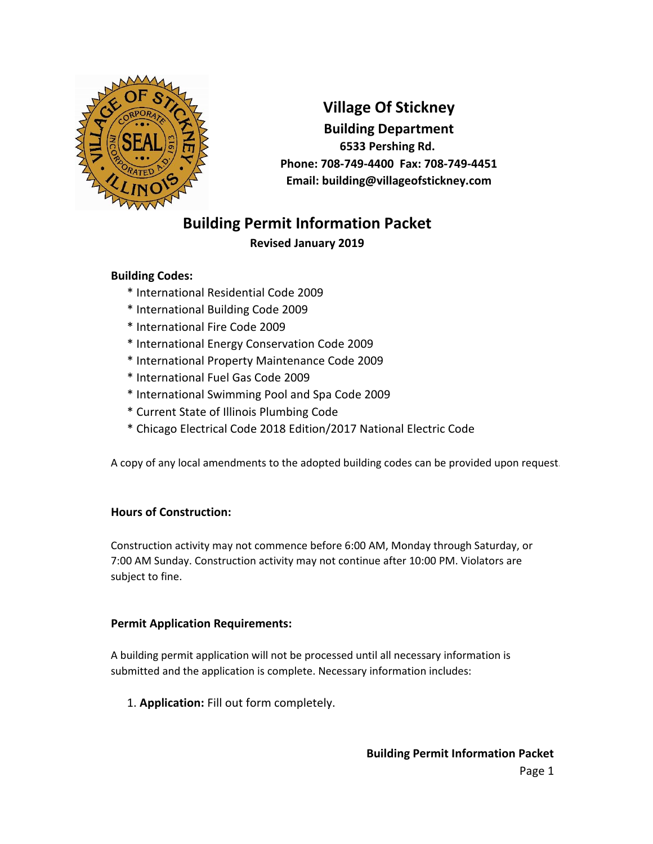

**Village Of Stickney Building Department 6533 Pershing Rd. Phone: 708-749-4400 Fax: 708-749-4451 Email: building@villageofstickney.com**

# **Building Permit Information Packet**

# **Revised January 2019**

## **Building Codes:**

- \* International Residential Code 2009
- \* International Building Code 2009
- \* International Fire Code 2009
- \* International Energy Conservation Code 2009
- \* International Property Maintenance Code 2009
- \* International Fuel Gas Code 2009
- \* International Swimming Pool and Spa Code 2009
- \* Current State of Illinois Plumbing Code
- \* Chicago Electrical Code 2018 Edition/2017 National Electric Code

A copy of any local amendments to the adopted building codes can be provided upon request.

## **Hours of Construction:**

Construction activity may not commence before 6:00 AM, Monday through Saturday, or 7:00 AM Sunday. Construction activity may not continue after 10:00 PM. Violators are subject to fine.

## **Permit Application Requirements:**

A building permit application will not be processed until all necessary information is submitted and the application is complete. Necessary information includes:

1. **Application:** Fill out form completely.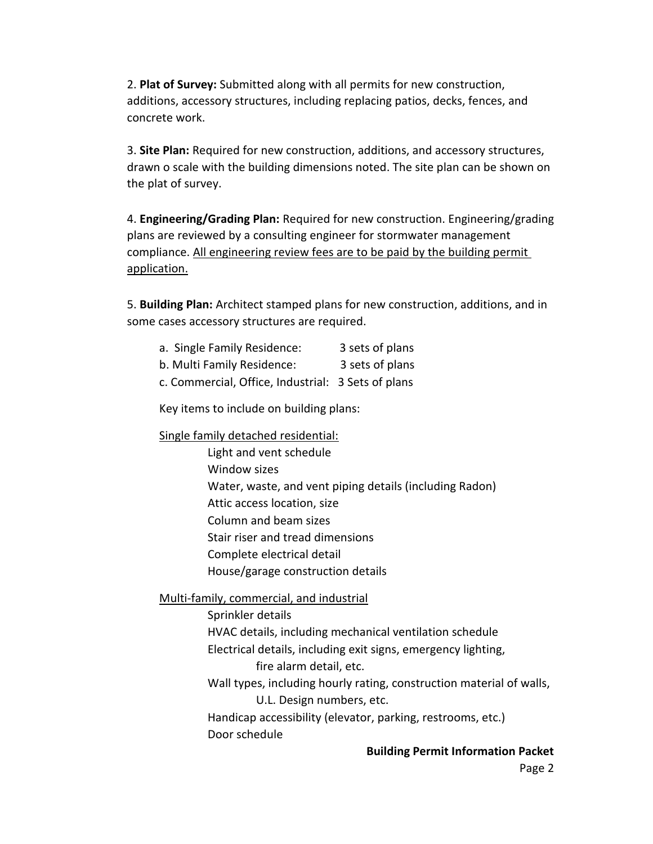2. **Plat of Survey:** Submitted along with all permits for new construction, additions, accessory structures, including replacing patios, decks, fences, and concrete work.

3. **Site Plan:** Required for new construction, additions, and accessory structures, drawn o scale with the building dimensions noted. The site plan can be shown on the plat of survey.

4. **Engineering/Grading Plan:** Required for new construction. Engineering/grading plans are reviewed by a consulting engineer for stormwater management compliance. All engineering review fees are to be paid by the building permit application.

5. **Building Plan:** Architect stamped plans for new construction, additions, and in some cases accessory structures are required.

| a. Single Family Residence: | 3 sets of plans |
|-----------------------------|-----------------|
|-----------------------------|-----------------|

b. Multi Family Residence: 3 sets of plans

c. Commercial, Office, Industrial: 3 Sets of plans

Key items to include on building plans:

Single family detached residential:

Column and beam sizes Stair riser and tread dimensions Complete electrical detail House/garage construction details Light and vent schedule Window sizes Water, waste, and vent piping details (including Radon) Attic access location, size

Multi-family, commercial, and industrial

Sprinkler details HVAC details, including mechanical ventilation schedule Electrical details, including exit signs, emergency lighting, fire alarm detail, etc.

Wall types, including hourly rating, construction material of walls, U.L. Design numbers, etc.

Handicap accessibility (elevator, parking, restrooms, etc.) Door schedule

#### **Building Permit Information Packet**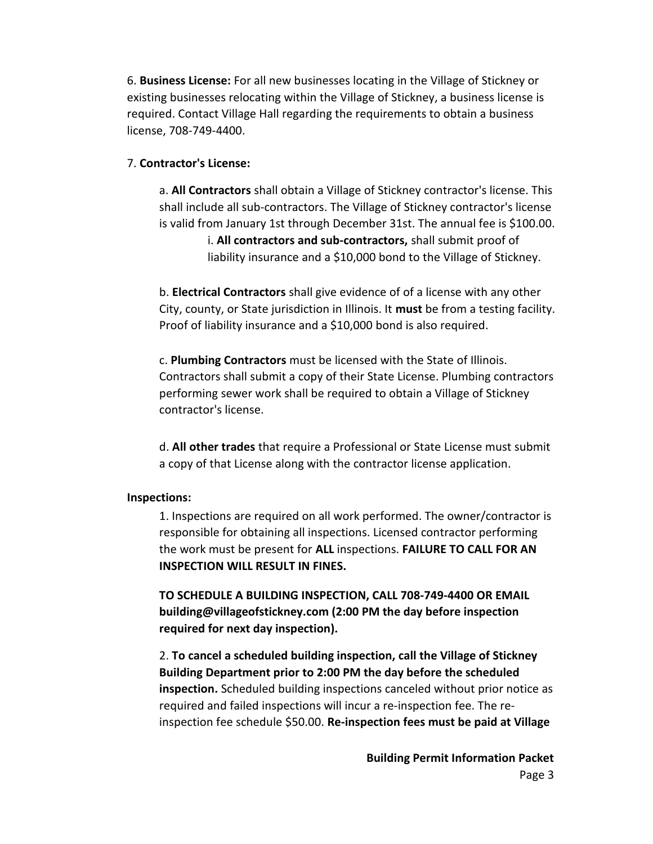6. **Business License:** For all new businesses locating in the Village of Stickney or existing businesses relocating within the Village of Stickney, a business license is required. Contact Village Hall regarding the requirements to obtain a business license, 708-749-4400.

### 7. **Contractor's License:**

a. **All Contractors** shall obtain a Village of Stickney contractor's license. This shall include all sub-contractors. The Village of Stickney contractor's license is valid from January 1st through December 31st. The annual fee is \$100.00.

> i. **All contractors and sub-contractors,** shall submit proof of liability insurance and a \$10,000 bond to the Village of Stickney.

b. **Electrical Contractors** shall give evidence of of a license with any other City, county, or State jurisdiction in Illinois. It **must** be from a testing facility. Proof of liability insurance and a \$10,000 bond is also required.

c. **Plumbing Contractors** must be licensed with the State of Illinois. Contractors shall submit a copy of their State License. Plumbing contractors performing sewer work shall be required to obtain a Village of Stickney contractor's license.

d. **All other trades** that require a Professional or State License must submit a copy of that License along with the contractor license application.

#### **Inspections:**

1. Inspections are required on all work performed. The owner/contractor is responsible for obtaining all inspections. Licensed contractor performing the work must be present for **ALL** inspections. **FAILURE TO CALL FOR AN INSPECTION WILL RESULT IN FINES.**

**TO SCHEDULE A BUILDING INSPECTION, CALL 708-749-4400 OR EMAIL building@villageofstickney.com (2:00 PM the day before inspection required for next day inspection).**

2. **To cancel a scheduled building inspection, call the Village of Stickney Building Department prior to 2:00 PM the day before the scheduled inspection.** Scheduled building inspections canceled without prior notice as required and failed inspections will incur a re-inspection fee. The reinspection fee schedule \$50.00. **Re-inspection fees must be paid at Village** 

> **Building Permit Information Packet**  Page 3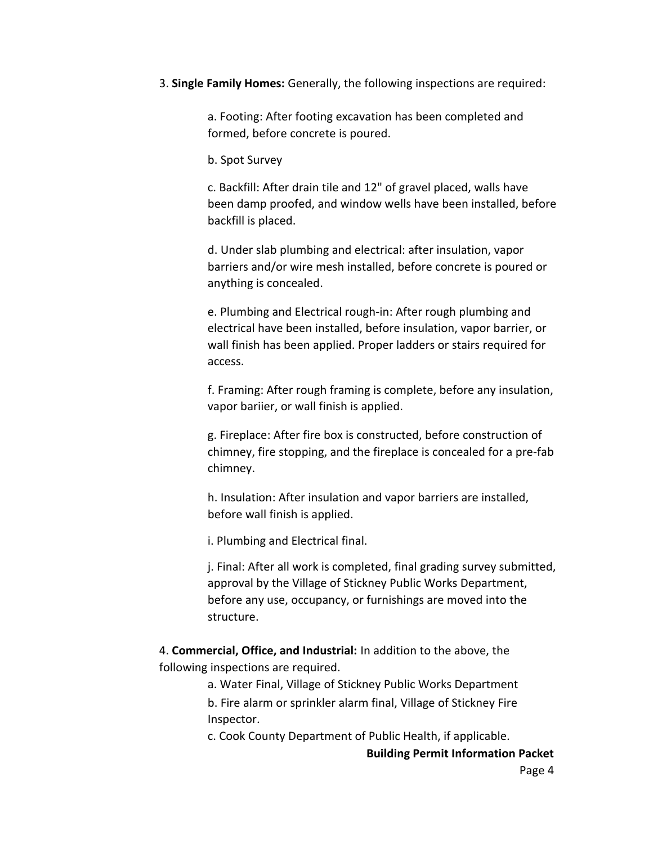#### 3. **Single Family Homes:** Generally, the following inspections are required:

a. Footing: After footing excavation has been completed and formed, before concrete is poured.

b. Spot Survey

c. Backfill: After drain tile and 12" of gravel placed, walls have been damp proofed, and window wells have been installed, before backfill is placed.

d. Under slab plumbing and electrical: after insulation, vapor barriers and/or wire mesh installed, before concrete is poured or anything is concealed.

e. Plumbing and Electrical rough-in: After rough plumbing and electrical have been installed, before insulation, vapor barrier, or wall finish has been applied. Proper ladders or stairs required for access.

f. Framing: After rough framing is complete, before any insulation, vapor bariier, or wall finish is applied.

g. Fireplace: After fire box is constructed, before construction of chimney, fire stopping, and the fireplace is concealed for a pre-fab chimney.

h. Insulation: After insulation and vapor barriers are installed, before wall finish is applied.

i. Plumbing and Electrical final.

j. Final: After all work is completed, final grading survey submitted, approval by the Village of Stickney Public Works Department, before any use, occupancy, or furnishings are moved into the structure.

4. **Commercial, Office, and Industrial:** In addition to the above, the following inspections are required.

a. Water Final, Village of Stickney Public Works Department

b. Fire alarm or sprinkler alarm final, Village of Stickney Fire Inspector.

c. Cook County Department of Public Health, if applicable.

**Building Permit Information Packet**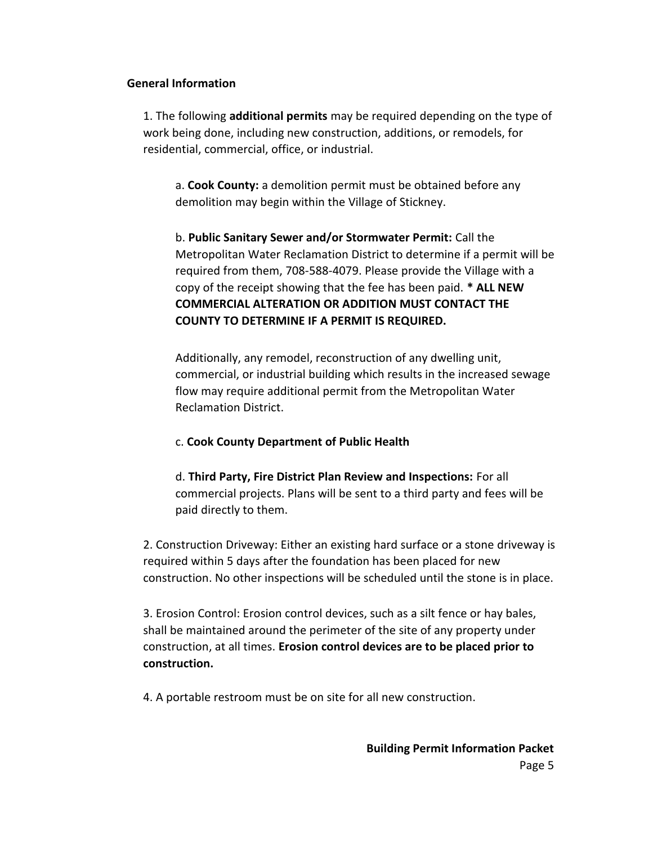#### **General Information**

1. The following **additional permits** may be required depending on the type of work being done, including new construction, additions, or remodels, for residential, commercial, office, or industrial.

a. **Cook County:** a demolition permit must be obtained before any demolition may begin within the Village of Stickney.

b. **Public Sanitary Sewer and/or Stormwater Permit:** Call the Metropolitan Water Reclamation District to determine if a permit will be required from them, 708-588-4079. Please provide the Village with a copy of the receipt showing that the fee has been paid. **\* ALL NEW COMMERCIAL ALTERATION OR ADDITION MUST CONTACT THE COUNTY TO DETERMINE IF A PERMIT IS REQUIRED.** 

Additionally, any remodel, reconstruction of any dwelling unit, commercial, or industrial building which results in the increased sewage flow may require additional permit from the Metropolitan Water Reclamation District.

#### c. **Cook County Department of Public Health**

d. **Third Party, Fire District Plan Review and Inspections:** For all commercial projects. Plans will be sent to a third party and fees will be paid directly to them.

2. Construction Driveway: Either an existing hard surface or a stone driveway is required within 5 days after the foundation has been placed for new construction. No other inspections will be scheduled until the stone is in place.

3. Erosion Control: Erosion control devices, such as a silt fence or hay bales, shall be maintained around the perimeter of the site of any property under construction, at all times. **Erosion control devices are to be placed prior to construction.**

4. A portable restroom must be on site for all new construction.

**Building Permit Information Packet**  Page 5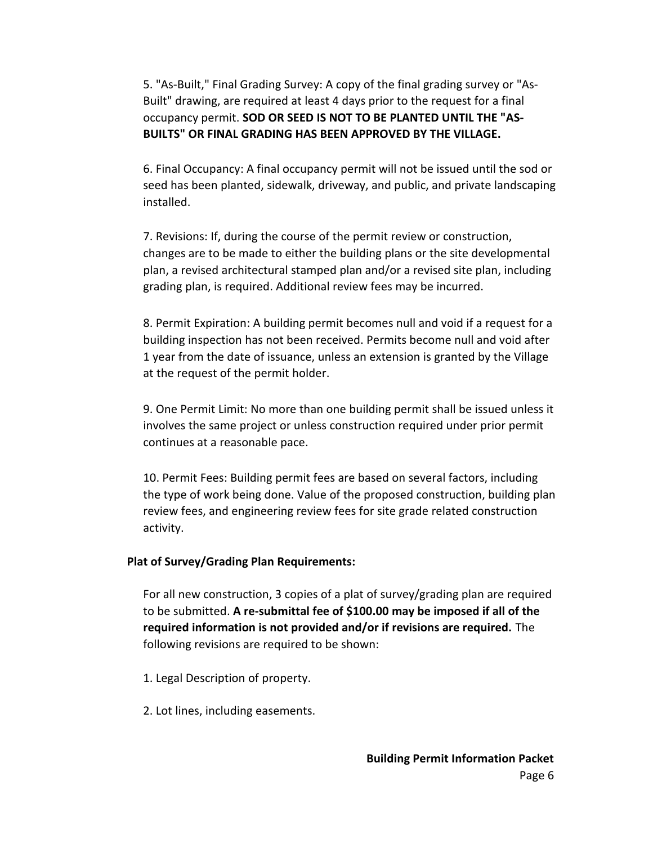5. "As-Built," Final Grading Survey: A copy of the final grading survey or "As-Built" drawing, are required at least 4 days prior to the request for a final occupancy permit. **SOD OR SEED IS NOT TO BE PLANTED UNTIL THE "AS-BUILTS" OR FINAL GRADING HAS BEEN APPROVED BY THE VILLAGE.**

6. Final Occupancy: A final occupancy permit will not be issued until the sod or seed has been planted, sidewalk, driveway, and public, and private landscaping installed.

7. Revisions: If, during the course of the permit review or construction, changes are to be made to either the building plans or the site developmental plan, a revised architectural stamped plan and/or a revised site plan, including grading plan, is required. Additional review fees may be incurred.

8. Permit Expiration: A building permit becomes null and void if a request for a building inspection has not been received. Permits become null and void after 1 year from the date of issuance, unless an extension is granted by the Village at the request of the permit holder.

9. One Permit Limit: No more than one building permit shall be issued unless it involves the same project or unless construction required under prior permit continues at a reasonable pace.

10. Permit Fees: Building permit fees are based on several factors, including the type of work being done. Value of the proposed construction, building plan review fees, and engineering review fees for site grade related construction activity.

#### **Plat of Survey/Grading Plan Requirements:**

For all new construction, 3 copies of a plat of survey/grading plan are required to be submitted. **A re-submittal fee of \$100.00 may be imposed if all of the required information is not provided and/or if revisions are required.** The following revisions are required to be shown:

- 1. Legal Description of property.
- 2. Lot lines, including easements.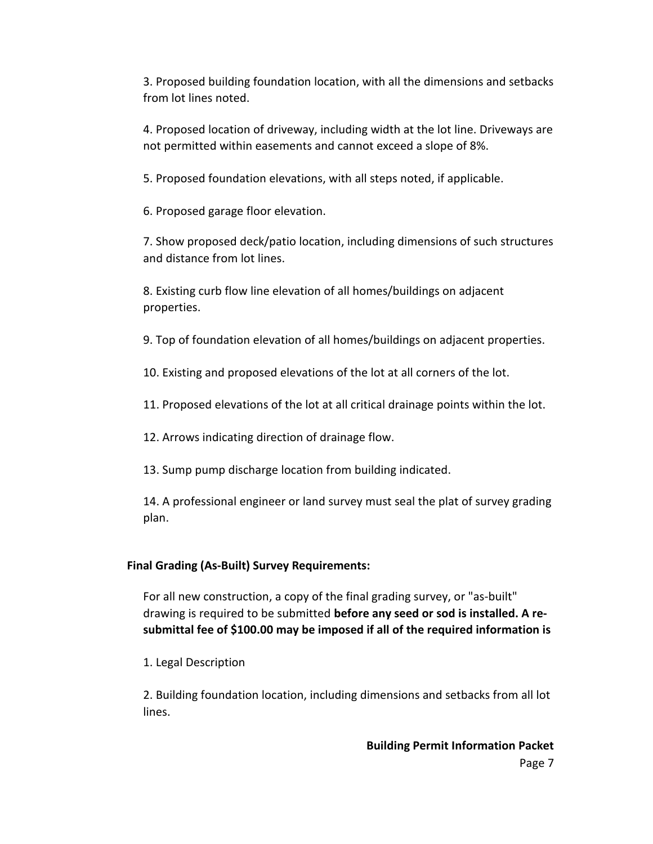3. Proposed building foundation location, with all the dimensions and setbacks from lot lines noted.

4. Proposed location of driveway, including width at the lot line. Driveways are not permitted within easements and cannot exceed a slope of 8%.

5. Proposed foundation elevations, with all steps noted, if applicable.

6. Proposed garage floor elevation.

7. Show proposed deck/patio location, including dimensions of such structures and distance from lot lines.

8. Existing curb flow line elevation of all homes/buildings on adjacent properties.

9. Top of foundation elevation of all homes/buildings on adjacent properties.

10. Existing and proposed elevations of the lot at all corners of the lot.

11. Proposed elevations of the lot at all critical drainage points within the lot.

12. Arrows indicating direction of drainage flow.

13. Sump pump discharge location from building indicated.

14. A professional engineer or land survey must seal the plat of survey grading plan.

### **Final Grading (As-Built) Survey Requirements:**

For all new construction, a copy of the final grading survey, or "as-built" drawing is required to be submitted **before any seed or sod is installed. A resubmittal fee of \$100.00 may be imposed if all of the required information is** 

1. Legal Description

2. Building foundation location, including dimensions and setbacks from all lot lines.

**Building Permit Information Packet**